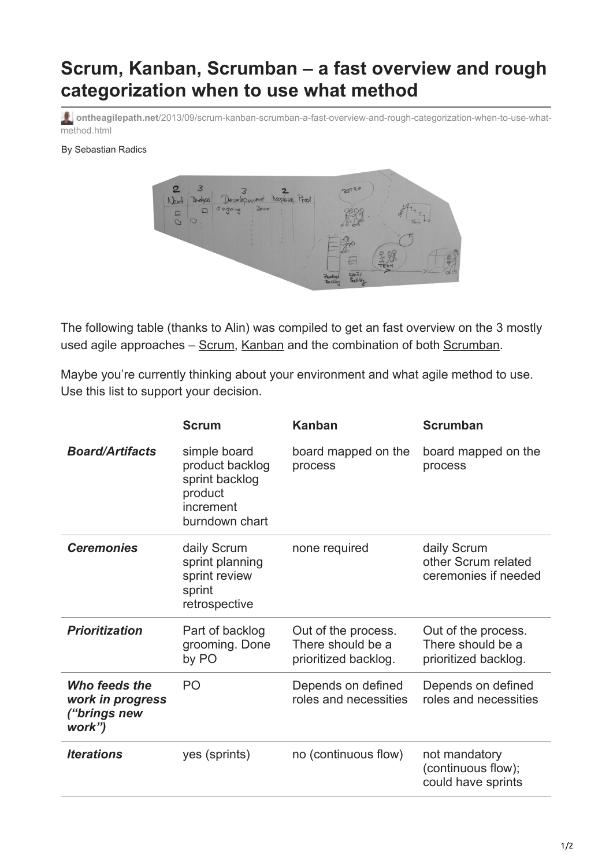## **Scrum, Kanban, Scrumban – a fast overview and rough categorization when to use what method**

**ontheagilepath.net**[/2013/09/scrum-kanban-scrumban-a-fast-overview-and-rough-categorization-when-to-use-what](https://www.ontheagilepath.net/2013/09/scrum-kanban-scrumban-a-fast-overview-and-rough-categorization-when-to-use-what-method.html)method.html

By Sebastian Radics



The following table (thanks to Alin) was compiled to get an fast overview on the 3 mostly used agile approaches – [Scrum,](http://scrum.org/) [Kanban](http://www.amazon.de/Kanban-Successful-Evolutionary-Technology-Business/dp/0984521402?tag=s601000020-21) and the combination of both [Scrumban](http://www.amazon.de/Kanban-Scrum-making-most-both/dp/0557138329?tag=s601000020-21).

Maybe you're currently thinking about your environment and what agile method to use. Use this list to support your decision.

|                                                             | <b>Scrum</b>                                                                                | <b>Kanban</b>                                                    | <b>Scrumban</b>                                                  |
|-------------------------------------------------------------|---------------------------------------------------------------------------------------------|------------------------------------------------------------------|------------------------------------------------------------------|
| <b>Board/Artifacts</b>                                      | simple board<br>product backlog<br>sprint backlog<br>product<br>increment<br>burndown chart | board mapped on the<br>process                                   | board mapped on the<br>process                                   |
| <b>Ceremonies</b>                                           | daily Scrum<br>sprint planning<br>sprint review<br>sprint<br>retrospective                  | none required                                                    | daily Scrum<br>other Scrum related<br>ceremonies if needed       |
| <b>Prioritization</b>                                       | Part of backlog<br>grooming. Done<br>by PO                                                  | Out of the process.<br>There should be a<br>prioritized backlog. | Out of the process.<br>There should be a<br>prioritized backlog. |
| Who feeds the<br>work in progress<br>("brings new<br>work") | P <sub>O</sub>                                                                              | Depends on defined<br>roles and necessities                      | Depends on defined<br>roles and necessities                      |
| <b>Iterations</b>                                           | yes (sprints)                                                                               | no (continuous flow)                                             | not mandatory<br>(continuous flow);<br>could have sprints        |